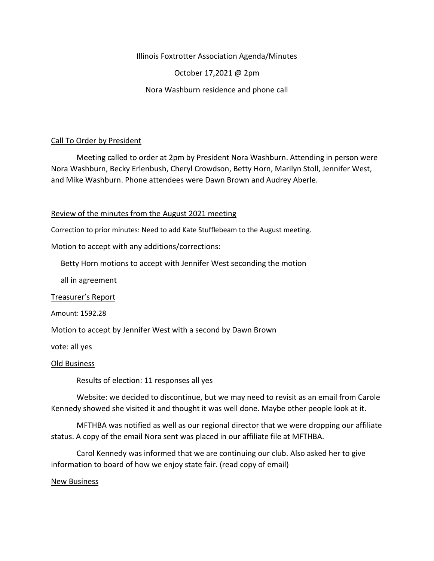Illinois Foxtrotter Association Agenda/Minutes

October 17,2021 @ 2pm

Nora Washburn residence and phone call

## Call To Order by President

Meeting called to order at 2pm by President Nora Washburn. Attending in person were Nora Washburn, Becky Erlenbush, Cheryl Crowdson, Betty Horn, Marilyn Stoll, Jennifer West, and Mike Washburn. Phone attendees were Dawn Brown and Audrey Aberle.

#### Review of the minutes from the August 2021 meeting

Correction to prior minutes: Need to add Kate Stufflebeam to the August meeting.

Motion to accept with any additions/corrections:

Betty Horn motions to accept with Jennifer West seconding the motion

all in agreement

Treasurer's Report

Amount: 1592.28

Motion to accept by Jennifer West with a second by Dawn Brown

vote: all yes

Old Business

Results of election: 11 responses all yes

Website: we decided to discontinue, but we may need to revisit as an email from Carole Kennedy showed she visited it and thought it was well done. Maybe other people look at it.

MFTHBA was notified as well as our regional director that we were dropping our affiliate status. A copy of the email Nora sent was placed in our affiliate file at MFTHBA.

Carol Kennedy was informed that we are continuing our club. Also asked her to give information to board of how we enjoy state fair. (read copy of email)

#### New Business